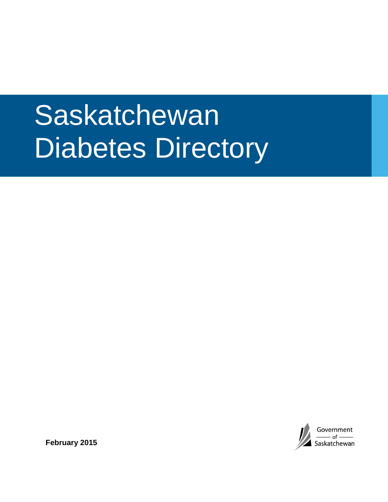# Saskatchewan Diabetes Directory



**February 2015**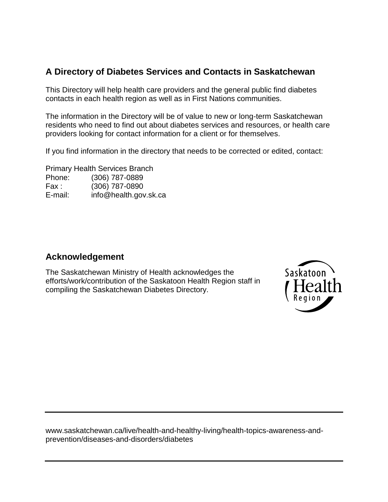### **A Directory of Diabetes Services and Contacts in Saskatchewan**

This Directory will help health care providers and the general public find diabetes contacts in each health region as well as in First Nations communities.

The information in the Directory will be of value to new or long-term Saskatchewan residents who need to find out about diabetes services and resources, or health care providers looking for contact information for a client or for themselves.

If you find information in the directory that needs to be corrected or edited, contact:

Primary Health Services Branch Phone: (306) 787-0889 Fax : (306) 787-0890 E-mail: info@health.gov.sk.ca

#### **Acknowledgement**

The Saskatchewan Ministry of Health acknowledges the efforts/work/contribution of the Saskatoon Health Region staff in compiling the Saskatchewan Diabetes Directory.



<span id="page-1-0"></span>[www.saskatchewan.ca/live/health-and-healthy-living/health-topics-awareness-and](http://www.saskatchewan.ca/live/health-and-healthy-living/health-topics-awareness-and-prevention/diseases-and-disorders/diabetes)[prevention/diseases-and-disorders/diabetes](http://www.saskatchewan.ca/live/health-and-healthy-living/health-topics-awareness-and-prevention/diseases-and-disorders/diabetes)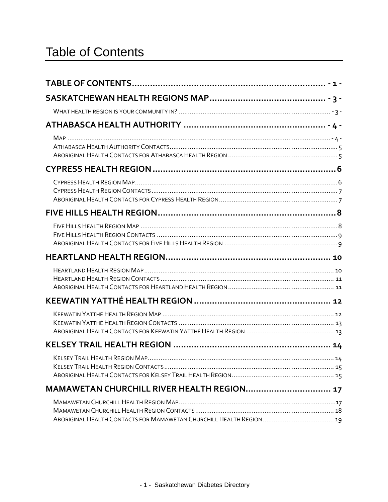| MAMAWETAN CHURCHILL RIVER HEALTH REGION 17 |  |
|--------------------------------------------|--|
|                                            |  |
|                                            |  |
|                                            |  |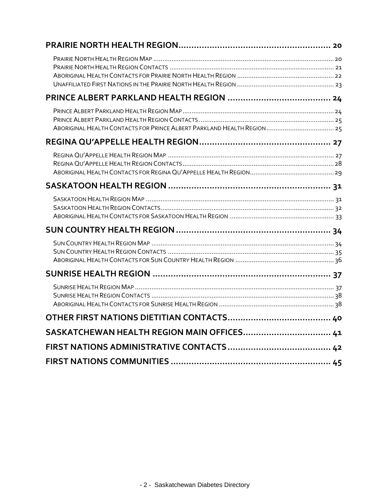<span id="page-3-0"></span>

| SASKATCHEWAN HEALTH REGION MAIN OFFICES 41 |  |
|--------------------------------------------|--|
|                                            |  |
|                                            |  |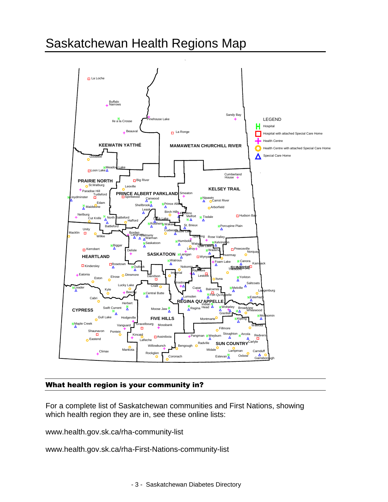### Saskatchewan Health Regions Map



#### <span id="page-4-0"></span>What health region is your community in?

For a complete list of Saskatchewan communities and First Nations, showing which health region they are in, see these online lists:

www.health.gov.sk.ca/rha-community-list

www.health.gov.sk.ca/rha-First-Nations-community-list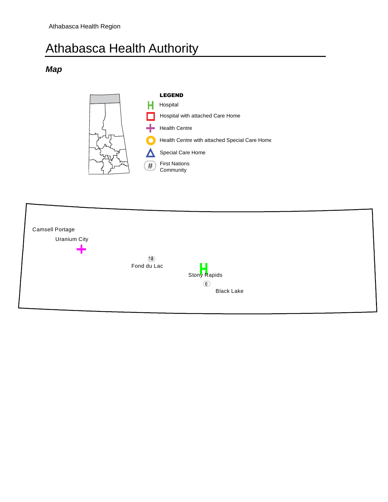## Athabasca Health Authority

#### <span id="page-5-0"></span>*Map*



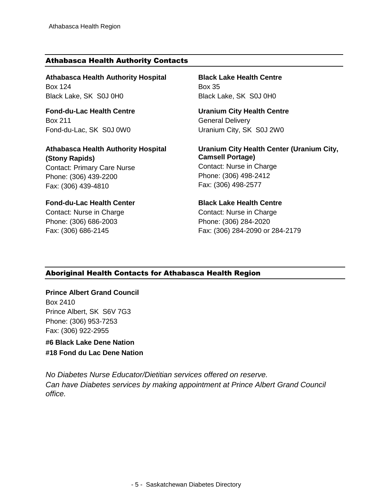#### <span id="page-6-0"></span>Athabasca Health Authority Contacts

**Athabasca Health Authority Hospital** Box 124 Black Lake, SK S0J 0H0

**Fond-du-Lac Health Centre** Box 211 Fond-du-Lac, SK S0J 0W0

**Athabasca Health Authority Hospital (Stony Rapids)** Contact: Primary Care Nurse Phone: (306) 439-2200

#### **Fond-du-Lac Health Center**

Contact: Nurse in Charge Phone: (306) 686-2003 Fax: (306) 686-2145

Fax: (306) 439-4810

**Black Lake Health Centre** Box 35 Black Lake, SK S0J 0H0

**Uranium City Health Centre** General Delivery Uranium City, SK S0J 2W0

**Uranium City Health Center (Uranium City, Camsell Portage)** Contact: Nurse in Charge Phone: (306) 498-2412 Fax: (306) 498-2577

#### **Black Lake Health Centre**

Contact: Nurse in Charge Phone: (306) 284-2020 Fax: (306) 284-2090 or 284-2179

#### <span id="page-6-1"></span>Aboriginal Health Contacts for Athabasca Health Region

#### **Prince Albert Grand Council** Box 2410 Prince Albert, SK S6V 7G3 Phone: (306) 953-7253 Fax: (306) 922-2955

**#6 Black Lake Dene Nation #18 Fond du Lac Dene Nation**

*No Diabetes Nurse Educator/Dietitian services offered on reserve. Can have Diabetes services by making appointment at Prince Albert Grand Council office.*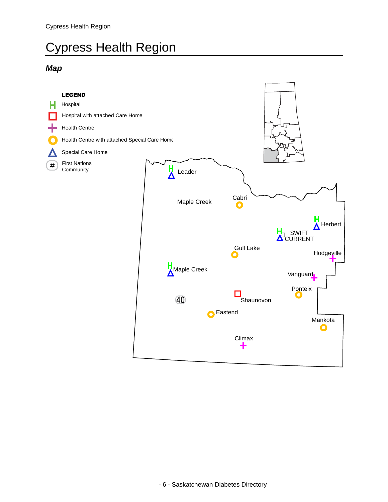## <span id="page-7-0"></span>Cypress Health Region

#### <span id="page-7-1"></span>*Map*

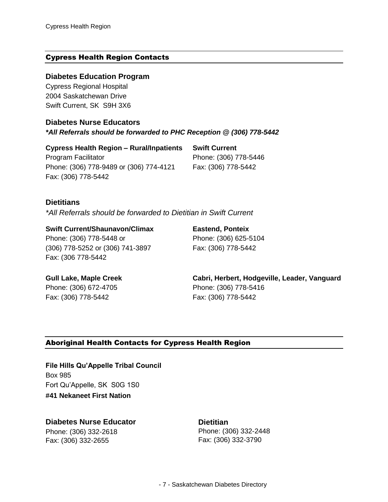#### <span id="page-8-0"></span>Cypress Health Region Contacts

#### **Diabetes Education Program**

Cypress Regional Hospital 2004 Saskatchewan Drive Swift Current, SK S9H 3X6

**Diabetes Nurse Educators** *\*All Referrals should be forwarded to PHC Reception @ (306) 778-5442* 

**Cypress Health Region – Rural/Inpatients** Program Facilitator Phone: (306) 778-9489 or (306) 774-4121 Fax: (306) 778-5442

**Swift Current**  Phone: (306) 778-5446 Fax: (306) 778-5442

#### **Dietitians**

*\*All Referrals should be forwarded to Dietitian in Swift Current* 

**Swift Current/Shaunavon/Climax** Phone: (306) 778-5448 or (306) 778-5252 or (306) 741-3897 Fax: (306 778-5442

**Eastend, Ponteix** Phone: (306) 625-5104 Fax: (306) 778-5442

**Gull Lake, Maple Creek** Phone: (306) 672-4705 Fax: (306) 778-5442

**Cabri, Herbert, Hodgeville, Leader, Vanguard** Phone: (306) 778-5416 Fax: (306) 778-5442

#### <span id="page-8-1"></span>Aboriginal Health Contacts for Cypress Health Region

**File Hills Qu'Appelle Tribal Council**  Box 985 Fort Qu'Appelle, SK S0G 1S0 **#41 Nekaneet First Nation**

<span id="page-8-2"></span>**Diabetes Nurse Educator** Phone: (306) 332-2618 Fax: (306) 332-2655

**Dietitian** Phone: (306) 332-2448 Fax: (306) 332-3790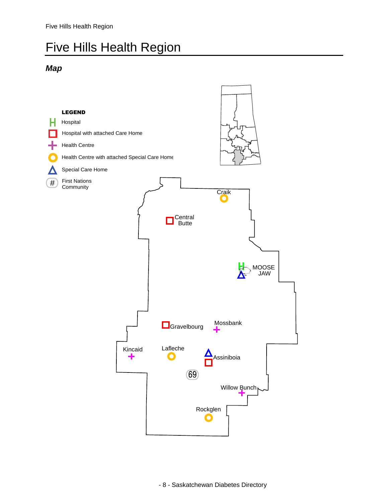### Five Hills Health Region

#### <span id="page-9-0"></span>*Map*

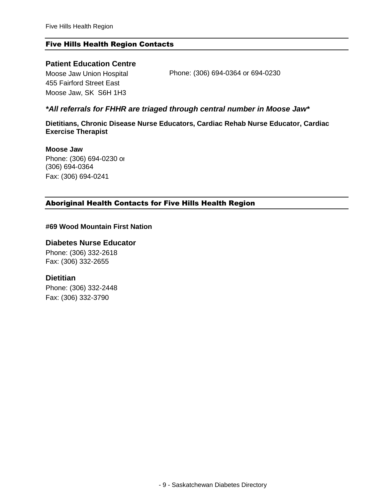#### <span id="page-10-0"></span>Five Hills Health Region Contacts

#### **Patient Education Centre**

Moose Jaw Union Hospital 455 Fairford Street East Moose Jaw, SK S6H 1H3

Phone: (306) 694-0364 or 694-0230

#### *\*All referrals for FHHR are triaged through central number in Moose Jaw\**

**Dietitians, Chronic Disease Nurse Educators, Cardiac Rehab Nurse Educator, Cardiac Exercise Therapist**

**Moose Jaw** Phone: (306) 694-0230 or (306) 694-0364

Fax: (306) 694-0241

#### <span id="page-10-1"></span>Aboriginal Health Contacts for Five Hills Health Region

#### **#69 Wood Mountain First Nation**

#### **Diabetes Nurse Educator**

Phone: (306) 332-2618 Fax: (306) 332-2655

#### **Dietitian**

Phone: (306) 332-2448 Fax: (306) 332-3790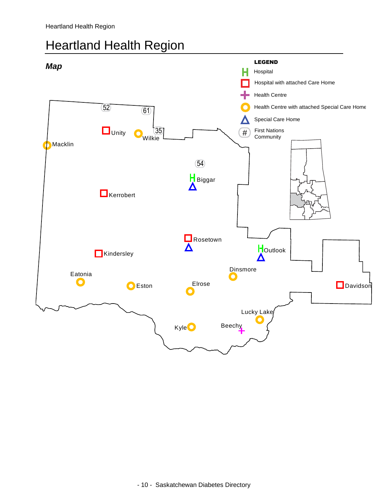### <span id="page-11-0"></span>Heartland Health Region

<span id="page-11-1"></span>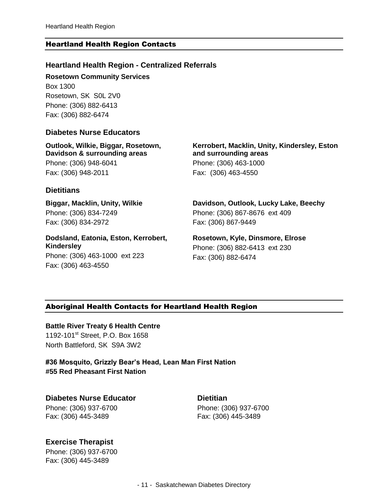#### <span id="page-12-0"></span>Heartland Health Region Contacts

#### **Heartland Health Region - Centralized Referrals**

**Rosetown Community Services**

Box 1300 Rosetown, SK S0L 2V0 Phone: (306) 882-6413 Fax: (306) 882-6474

#### **Diabetes Nurse Educators**

**Outlook, Wilkie, Biggar, Rosetown, Davidson & surrounding areas**  Phone: (306) 948-6041 Fax: (306) 948-2011

#### **Dietitians**

**Biggar, Macklin, Unity, Wilkie** Phone: (306) 834-7249 Fax: (306) 834-2972

**Dodsland, Eatonia, Eston, Kerrobert, Kindersley** Phone: (306) 463-1000 ext 223 Fax: (306) 463-4550

**Kerrobert, Macklin, Unity, Kindersley, Eston and surrounding areas**  Phone: (306) 463-1000 Fax: (306) 463-4550

**Davidson, Outlook, Lucky Lake, Beechy** Phone: (306) 867-8676 ext 409 Fax: (306) 867-9449

**Rosetown, Kyle, Dinsmore, Elrose** Phone: (306) 882-6413 ext 230 Fax: (306) 882-6474

#### <span id="page-12-1"></span>Aboriginal Health Contacts for Heartland Health Region

**Battle River Treaty 6 Health Centre**

1192-101<sup>st</sup> Street, P.O. Box 1658 North Battleford, SK S9A 3W2

**#36 Mosquito, Grizzly Bear's Head, Lean Man First Nation #55 Red Pheasant First Nation**

**Diabetes Nurse Educator** Phone: (306) 937-6700 Fax: (306) 445-3489

**Dietitian** Phone: (306) 937-6700 Fax: (306) 445-3489

#### **Exercise Therapist**

Phone: (306) 937-6700 Fax: (306) 445-3489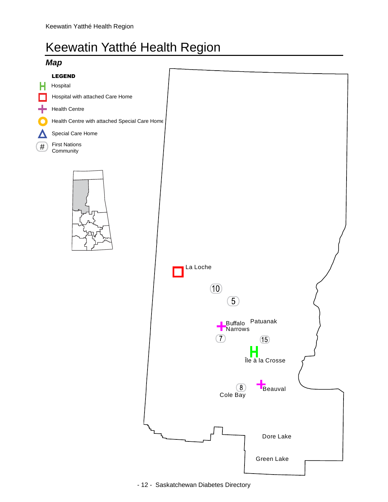### <span id="page-13-0"></span>Keewatin Yatthé Health Region

<span id="page-13-1"></span>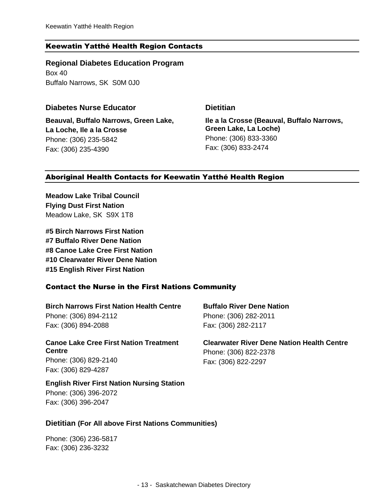#### <span id="page-14-0"></span>Keewatin Yatthé Health Region Contacts

**Regional Diabetes Education Program** Box 40

Buffalo Narrows, SK S0M 0J0

#### **Diabetes Nurse Educator Dietitian**

**Beauval, Buffalo Narrows, Green Lake, La Loche, Ile a la Crosse** Phone: (306) 235-5842 Fax: (306) 235-4390

**Ile a la Crosse (Beauval, Buffalo Narrows, Green Lake, La Loche)** Phone: (306) 833-3360 Fax: (306) 833-2474

#### <span id="page-14-1"></span>Aboriginal Health Contacts for Keewatin Yatthé Health Region

**Meadow Lake Tribal Council Flying Dust First Nation** Meadow Lake, SK S9X 1T8

**#5 Birch Narrows First Nation #7 Buffalo River Dene Nation #8 Canoe Lake Cree First Nation #10 Clearwater River Dene Nation #15 English River First Nation**

#### Contact the Nurse in the First Nations Community

**Birch Narrows First Nation Health Centre** Phone: (306) 894-2112 Fax: (306) 894-2088

#### **Canoe Lake Cree First Nation Treatment Centre**

Phone: (306) 829-2140 Fax: (306) 829-4287

#### **English River First Nation Nursing Station** Phone: (306) 396-2072

Fax: (306) 396-2047

**Buffalo River Dene Nation** Phone: (306) 282-2011 Fax: (306) 282-2117

**Clearwater River Dene Nation Health Centre** Phone: (306) 822-2378 Fax: (306) 822-2297

#### **Dietitian (For All above First Nations Communities)**

Phone: (306) 236-5817 Fax: (306) 236-3232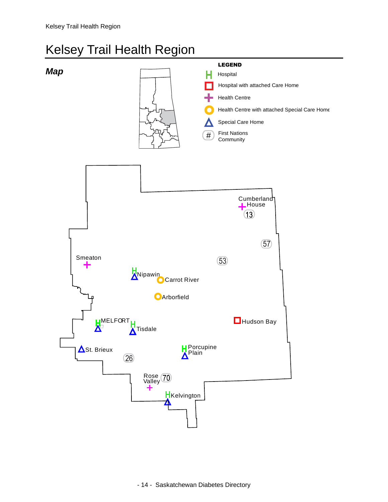### <span id="page-15-0"></span>Kelsey Trail Health Region

<span id="page-15-1"></span>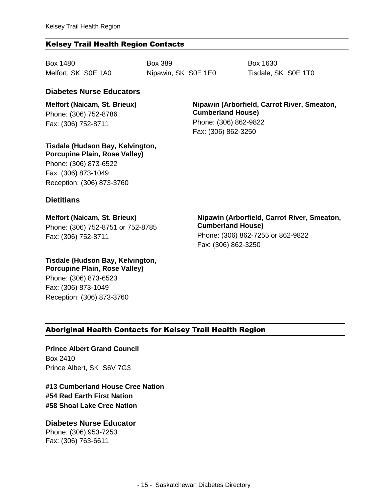#### <span id="page-16-0"></span>Kelsey Trail Health Region Contacts

Box 1480 Melfort, SK S0E 1A0 Box 389 Nipawin, SK S0E 1E0 Box 1630 Tisdale, SK S0E 1T0

#### **Diabetes Nurse Educators**

**Melfort (Naicam, St. Brieux)** Phone: (306) 752-8786 Fax: (306) 752-8711

**Nipawin (Arborfield, Carrot River, Smeaton, Cumberland House)** Phone: (306) 862-9822 Fax: (306) 862-3250

**Tisdale (Hudson Bay, Kelvington, Porcupine Plain, Rose Valley)** Phone: (306) 873-6522 Fax: (306) 873-1049

Reception: (306) 873-3760

#### **Dietitians**

**Melfort (Naicam, St. Brieux)**  Phone: (306) 752-8751 or 752-8785 Fax: (306) 752-8711

**Nipawin (Arborfield, Carrot River, Smeaton, Cumberland House)**  Phone: (306) 862-7255 or 862-9822 Fax: (306) 862-3250

**Tisdale (Hudson Bay, Kelvington, Porcupine Plain, Rose Valley)** Phone: (306) 873-6523

Fax: (306) 873-1049 Reception: (306) 873-3760

#### <span id="page-16-1"></span>Aboriginal Health Contacts for Kelsey Trail Health Region

**Prince Albert Grand Council** Box 2410 Prince Albert, SK S6V 7G3

**#13 Cumberland House Cree Nation #54 Red Earth First Nation #58 Shoal Lake Cree Nation**

**Diabetes Nurse Educator** Phone: (306) 953-7253 Fax: (306) 763-6611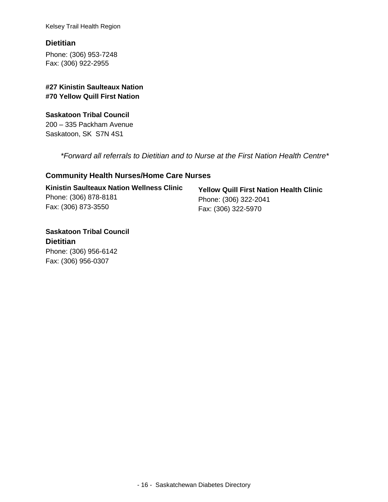Kelsey Trail Health Region

#### **Dietitian**

Phone: (306) 953-7248 Fax: (306) 922-2955

#### **#27 Kinistin Saulteaux Nation #70 Yellow Quill First Nation**

#### **Saskatoon Tribal Council** 200 – 335 Packham Avenue Saskatoon, SK S7N 4S1

*\*Forward all referrals to Dietitian and to Nurse at the First Nation Health Centre\**

#### **Community Health Nurses/Home Care Nurses**

| <b>Kinistin Saulteaux Nation Wellness Clinic</b> |  |
|--------------------------------------------------|--|
| Phone: (306) 878-8181                            |  |
| Fax: (306) 873-3550                              |  |

**Yellow Quill First Nation Health Clinic** Phone: (306) 322-2041 Fax: (306) 322-5970

**Saskatoon Tribal Council Dietitian** Phone: (306) 956-6142 Fax: (306) 956-0307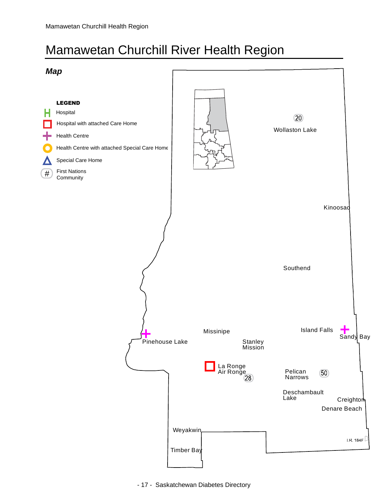## <span id="page-18-0"></span>Mamawetan Churchill River Health Region

<span id="page-18-1"></span>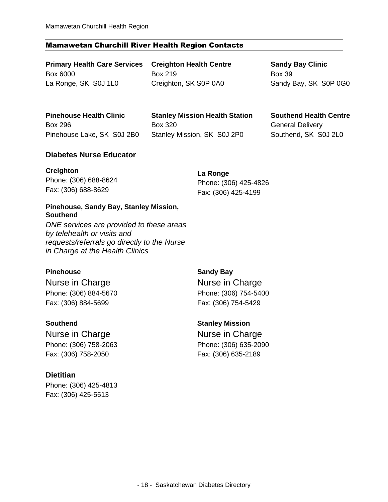#### <span id="page-19-0"></span>Mamawetan Churchill River Health Region Contacts

**Primary Health Care Services**  Box 6000 La Ronge, SK S0J 1L0

**Creighton Health Centre** Box 219 Creighton, SK S0P 0A0

**Sandy Bay Clinic** Box 39 Sandy Bay, SK S0P 0G0

**Pinehouse Health Clinic**  Box 296 Pinehouse Lake, SK S0J 2B0

**Stanley Mission Health Station** Box 320 Stanley Mission, SK S0J 2P0

**Southend Health Centre** General Delivery Southend, SK S0J 2L0

#### **Diabetes Nurse Educator**

| <b>Creighton</b>      | La Ronge              |  |
|-----------------------|-----------------------|--|
| Phone: (306) 688-8624 | Phone: (306) 425-4826 |  |
| Fax: (306) 688-8629   | Fax: (306) 425-4199   |  |

#### **Pinehouse, Sandy Bay, Stanley Mission, Southend**

*DNE services are provided to these areas by telehealth or visits and requests/referrals go directly to the Nurse in Charge at the Health Clinics*

#### **Pinehouse**

Nurse in Charge Phone: (306) 884-5670 Fax: (306) 884-5699

#### **Southend**

Nurse in Charge Phone: (306) 758-2063 Fax: (306) 758-2050

#### **Dietitian**

Phone: (306) 425-4813 Fax: (306) 425-5513

**Sandy Bay** Nurse in Charge Phone: (306) 754-5400 Fax: (306) 754-5429

**Stanley Mission** Nurse in Charge Phone: (306) 635-2090 Fax: (306) 635-2189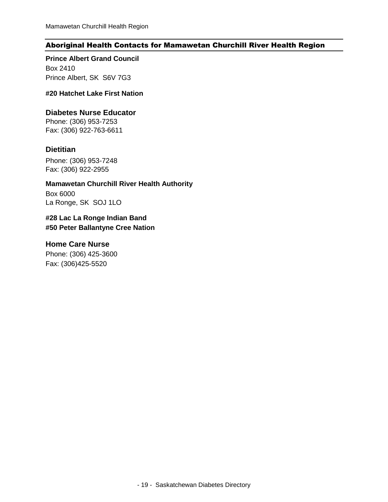#### <span id="page-20-0"></span>Aboriginal Health Contacts for Mamawetan Churchill River Health Region

**Prince Albert Grand Council** Box 2410

Prince Albert, SK S6V 7G3

**#20 Hatchet Lake First Nation**

#### **Diabetes Nurse Educator**

Phone: (306) 953-7253 Fax: (306) 922-763-6611

#### **Dietitian**

Phone: (306) 953-7248 Fax: (306) 922-2955

**Mamawetan Churchill River Health Authority** Box 6000

La Ronge, SK SOJ 1LO

#### **#28 Lac La Ronge Indian Band #50 Peter Ballantyne Cree Nation**

#### **Home Care Nurse**

Phone: (306) 425-3600 Fax: (306)425-5520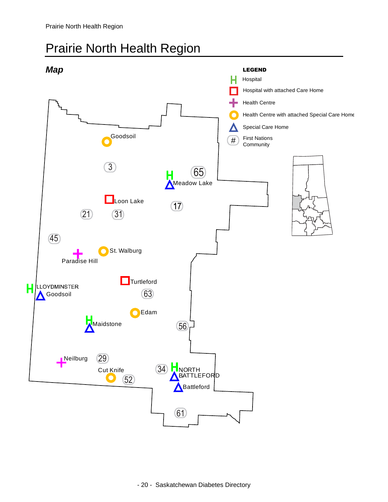### <span id="page-21-1"></span><span id="page-21-0"></span>Prairie North Health Region

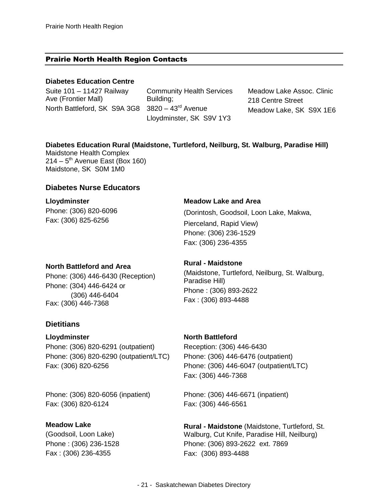#### <span id="page-22-0"></span>Prairie North Health Region Contacts

#### **Diabetes Education Centre**

Suite 101 – 11427 Railway Ave (Frontier Mall) North Battleford, SK S9A 3G8

Community Health Services Building;  $3820 - 43$ <sup>rd</sup> Avenue Lloydminster, SK S9V 1Y3

Meadow Lake Assoc. Clinic 218 Centre Street Meadow Lake, SK S9X 1E6

#### **Diabetes Education Rural (Maidstone, Turtleford, Neilburg, St. Walburg, Paradise Hill)**

Maidstone Health Complex 214 – 5<sup>th</sup> Avenue East (Box 160) Maidstone, SK S0M 1M0

#### **Diabetes Nurse Educators**

**Lloydminster** Phone: (306) 820-6096 Fax: (306) 825-6256

#### **North Battleford and Area**

Phone: (306) 446-6430 (Reception) Phone: (304) 446-6424 or (306) 446-6404 Fax: (306) 446-7368

#### **Dietitians**

#### **Lloydminster**

Phone: (306) 820-6291 (outpatient) Phone: (306) 820-6290 (outpatient/LTC) Fax: (306) 820-6256

Phone: (306) 820-6056 (inpatient) Fax: (306) 820-6124

#### **Meadow Lake**

(Goodsoil, Loon Lake) Phone : (306) 236-1528 Fax : (306) 236-4355

#### **Meadow Lake and Area**

(Dorintosh, Goodsoil, Loon Lake, Makwa, Pierceland, Rapid View) Phone: (306) 236-1529 Fax: (306) 236-4355

#### **Rural - Maidstone**

(Maidstone, Turtleford, Neilburg, St. Walburg, Paradise Hill) Phone : (306) 893-2622 Fax : (306) 893-4488

#### **North Battleford**

Reception: (306) 446-6430 Phone: (306) 446-6476 (outpatient) Phone: (306) 446-6047 (outpatient/LTC) Fax: (306) 446-7368

Phone: (306) 446-6671 (inpatient) Fax: (306) 446-6561

**Rural - Maidstone** (Maidstone, Turtleford, St. Walburg, Cut Knife, Paradise Hill, Neilburg) Phone: (306) 893-2622 ext. 7869 Fax: (306) 893-4488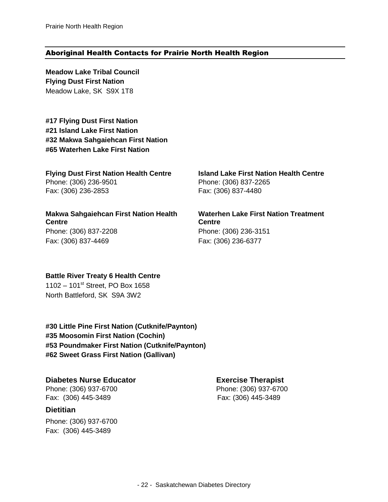#### <span id="page-23-0"></span>Aboriginal Health Contacts for Prairie North Health Region

**Meadow Lake Tribal Council Flying Dust First Nation** Meadow Lake, SK S9X 1T8

**#17 Flying Dust First Nation #21 Island Lake First Nation #32 Makwa Sahgaiehcan First Nation #65 Waterhen Lake First Nation**

#### **Flying Dust First Nation Health Centre**

Phone: (306) 236-9501 Fax: (306) 236-2853

**Makwa Sahgaiehcan First Nation Health Centre** Phone: (306) 837-2208 Fax: (306) 837-4469

**Island Lake First Nation Health Centre** Phone: (306) 837-2265 Fax: (306) 837-4480

**Waterhen Lake First Nation Treatment Centre** Phone: (306) 236-3151 Fax: (306) 236-6377

#### **Battle River Treaty 6 Health Centre**

 $1102 - 101$ <sup>st</sup> Street, PO Box 1658 North Battleford, SK S9A 3W2

**#30 Little Pine First Nation (Cutknife/Paynton) #35 Moosomin First Nation (Cochin) #53 Poundmaker First Nation (Cutknife/Paynton) #62 Sweet Grass First Nation (Gallivan)**

**Diabetes Nurse Educator Exercise Therapist**

Fax: (306) 445-3489 Fax: (306) 445-3489

#### **Dietitian**

Phone: (306) 937-6700 Fax: (306) 445-3489

Phone: (306) 937-6700 Phone: (306) 937-6700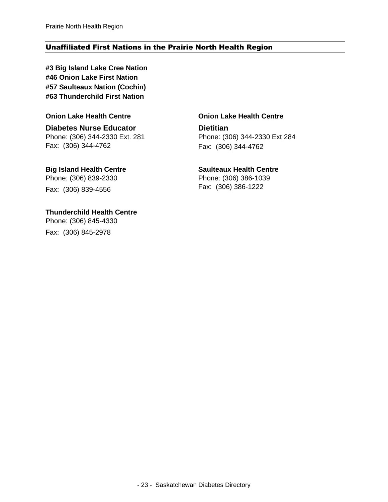#### <span id="page-24-0"></span>Unaffiliated First Nations in the Prairie North Health Region

**#3 Big Island Lake Cree Nation #46 Onion Lake First Nation #57 Saulteaux Nation (Cochin) #63 Thunderchild First Nation**

#### **Onion Lake Health Centre**

**Diabetes Nurse Educator** Phone: (306) 344-2330 Ext. 281 Fax: (306) 344-4762

**Big Island Health Centre** Phone: (306) 839-2330 Fax: (306) 839-4556

**Thunderchild Health Centre** Phone: (306) 845-4330 Fax: (306) 845-2978

#### **Onion Lake Health Centre**

**Dietitian** Phone: (306) 344-2330 Ext 284 Fax: (306) 344-4762

#### **Saulteaux Health Centre**

Phone: (306) 386-1039 Fax: (306) 386-1222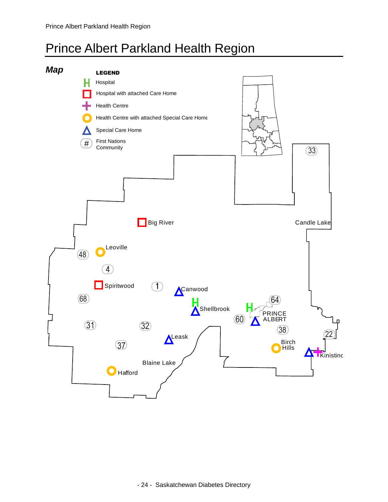### <span id="page-25-0"></span>Prince Albert Parkland Health Region

<span id="page-25-1"></span>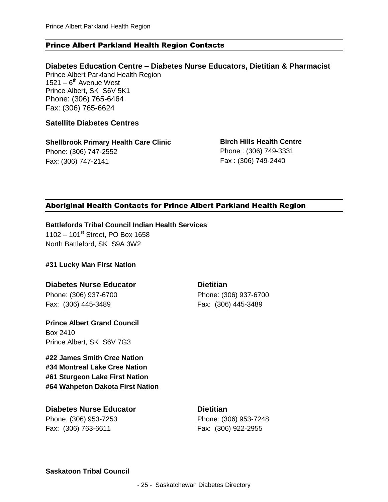#### <span id="page-26-0"></span>Prince Albert Parkland Health Region Contacts

**Diabetes Education Centre – Diabetes Nurse Educators, Dietitian & Pharmacist** Prince Albert Parkland Health Region  $1521 - 6$ <sup>th</sup> Avenue West Prince Albert, SK S6V 5K1 Phone: (306) 765-6464 Fax: (306) 765-6624

#### **Satellite Diabetes Centres**

**Shellbrook Primary Health Care Clinic** Phone: (306) 747-2552 Fax: (306) 747-2141

**Birch Hills Health Centre** Phone : (306) 749-3331 Fax : (306) 749-2440

#### <span id="page-26-1"></span>Aboriginal Health Contacts for Prince Albert Parkland Health Region

**Battlefords Tribal Council Indian Health Services**

 $1102 - 101$ <sup>st</sup> Street, PO Box 1658 North Battleford, SK S9A 3W2

#### **#31 Lucky Man First Nation**

#### **Diabetes Nurse Educator**

Phone: (306) 937-6700 Fax: (306) 445-3489

**Prince Albert Grand Council** Box 2410

Prince Albert, SK S6V 7G3

**#22 James Smith Cree Nation #34 Montreal Lake Cree Nation #61 Sturgeon Lake First Nation #64 Wahpeton Dakota First Nation**

**Diabetes Nurse Educator** Phone: (306) 953-7253 Fax: (306) 763-6611

**Dietitian** Phone: (306) 937-6700 Fax: (306) 445-3489

**Dietitian**

Phone: (306) 953-7248 Fax: (306) 922-2955

**Saskatoon Tribal Council**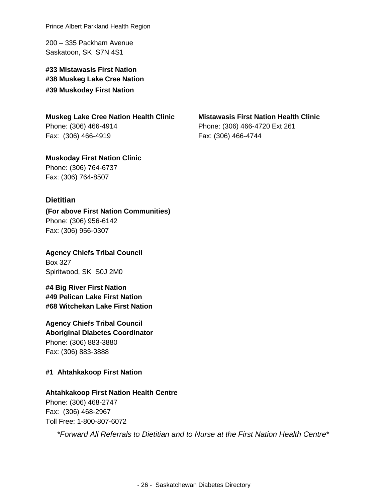Prince Albert Parkland Health Region

200 – 335 Packham Avenue Saskatoon, SK S7N 4S1

**#33 Mistawasis First Nation #38 Muskeg Lake Cree Nation #39 Muskoday First Nation**

**Muskeg Lake Cree Nation Health Clinic** Phone: (306) 466-4914 Fax: (306) 466-4919

**Muskoday First Nation Clinic** Phone: (306) 764-6737 Fax: (306) 764-8507

#### **Dietitian**

**(For above First Nation Communities)** Phone: (306) 956-6142 Fax: (306) 956-0307

**Agency Chiefs Tribal Council** Box 327 Spiritwood, SK S0J 2M0

**#4 Big River First Nation #49 Pelican Lake First Nation #68 Witchekan Lake First Nation**

**Agency Chiefs Tribal Council Aboriginal Diabetes Coordinator** Phone: (306) 883-3880 Fax: (306) 883-3888

#### **#1 Ahtahkakoop First Nation**

#### **Ahtahkakoop First Nation Health Centre**

Phone: (306) 468-2747 Fax: (306) 468-2967 Toll Free: 1-800-807-6072

*\*Forward All Referrals to Dietitian and to Nurse at the First Nation Health Centre\**

**Mistawasis First Nation Health Clinic** Phone: (306) 466-4720 Ext 261 Fax: (306) 466-4744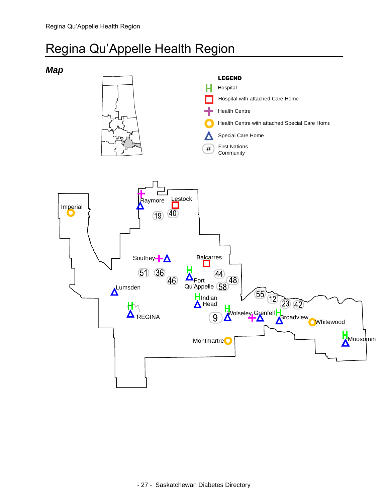### <span id="page-28-0"></span>Regina Qu'Appelle Health Region

<span id="page-28-1"></span>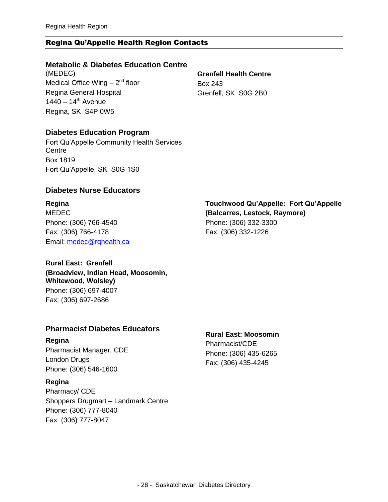#### <span id="page-29-0"></span>Regina Qu'Appelle Health Region Contacts

#### **Metabolic & Diabetes Education Centre**

(MEDEC) Medical Office Wing – 2<sup>nd</sup> floor Regina General Hospital  $1440 - 14$ <sup>th</sup> Avenue Regina, SK S4P 0W5

**Grenfell Health Centre** Box 243 Grenfell, SK S0G 2B0

#### **Diabetes Education Program**

Fort Qu'Appelle Community Health Services **Centre** Box 1819 Fort Qu'Appelle, SK S0G 1S0

#### **Diabetes Nurse Educators**

**Regina** MEDEC Phone: (306) 766-4540 Fax: (306) 766-4178 Email: [medec@rqhealth.ca](mailto:medec@rqhealth.ca)

#### **Touchwood Qu'Appelle: Fort Qu'Appelle (Balcarres, Lestock, Raymore)** Phone: (306) 332-3300 Fax: (306) 332-1226

#### **Rural East: Grenfell (Broadview, Indian Head, Moosomin, Whitewood, Wolsley)**

Phone: (306) 697-4007 Fax: (306) 697-2686

#### **Pharmacist Diabetes Educators**

#### **Regina**

Pharmacist Manager, CDE London Drugs Phone: (306) 546-1600

#### **Regina**

Pharmacy/ CDE Shoppers Drugmart – Landmark Centre Phone: (306) 777-8040 Fax: (306) 777-8047

#### **Rural East: Moosomin**

Pharmacist/CDE Phone: (306) 435-6265 Fax: (306) 435-4245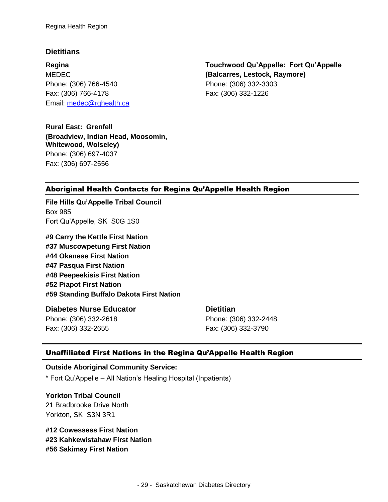#### **Dietitians**

**Regina** MEDEC Phone: (306) 766-4540 Fax: (306) 766-4178 Email: [medec@rqhealth.ca](mailto:medec@rqhealth.ca)

**Rural East: Grenfell (Broadview, Indian Head, Moosomin, Whitewood, Wolseley)** Phone: (306) 697-4037 Fax: (306) 697-2556

**Touchwood Qu'Appelle: Fort Qu'Appelle (Balcarres, Lestock, Raymore)** Phone: (306) 332-3303 Fax: (306) 332-1226

#### <span id="page-30-0"></span>Aboriginal Health Contacts for Regina Qu'Appelle Health Region

**File Hills Qu'Appelle Tribal Council** Box 985 Fort Qu'Appelle, SK S0G 1S0

**#9 Carry the Kettle First Nation #37 Muscowpetung First Nation #44 Okanese First Nation #47 Pasqua First Nation #48 Peepeekisis First Nation #52 Piapot First Nation #59 Standing Buffalo Dakota First Nation**

#### **Diabetes Nurse Educator**

Phone: (306) 332-2618 Fax: (306) 332-2655

#### **Dietitian**

Phone: (306) 332-2448 Fax: (306) 332-3790

#### Unaffiliated First Nations in the Regina Qu'Appelle Health Region

#### **Outside Aboriginal Community Service:**

\* Fort Qu'Appelle – All Nation's Healing Hospital (Inpatients)

### **Yorkton Tribal Council**

21 Bradbrooke Drive North Yorkton, SK S3N 3R1

**#12 Cowessess First Nation #23 Kahkewistahaw First Nation #56 Sakimay First Nation**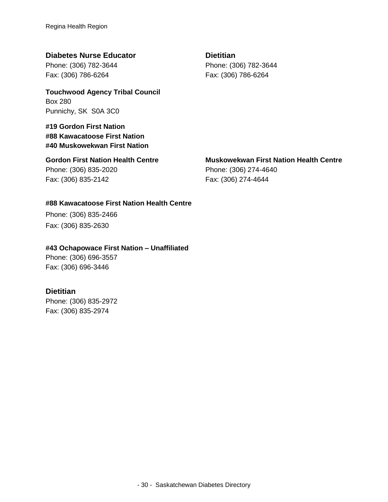#### **Diabetes Nurse Educator**

Phone: (306) 782-3644 Fax: (306) 786-6264

**Touchwood Agency Tribal Council** Box 280 Punnichy, SK S0A 3C0

#### **#19 Gordon First Nation #88 Kawacatoose First Nation #40 Muskowekwan First Nation**

**Gordon First Nation Health Centre** Phone: (306) 835-2020 Fax: (306) 835-2142

#### **Dietitian** Phone: (306) 782-3644 Fax: (306) 786-6264

#### **Muskowekwan First Nation Health Centre**

Phone: (306) 274-4640 Fax: (306) 274-4644

#### **#88 Kawacatoose First Nation Health Centre**

Phone: (306) 835-2466 Fax: (306) 835-2630

#### **#43 Ochapowace First Nation – Unaffiliated**

Phone: (306) 696-3557 Fax: (306) 696-3446

#### **Dietitian**

<span id="page-31-0"></span>Phone: (306) 835-2972 Fax: (306) 835-2974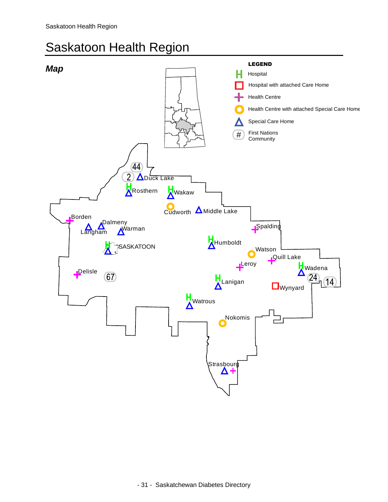### Saskatoon Health Region

<span id="page-32-0"></span>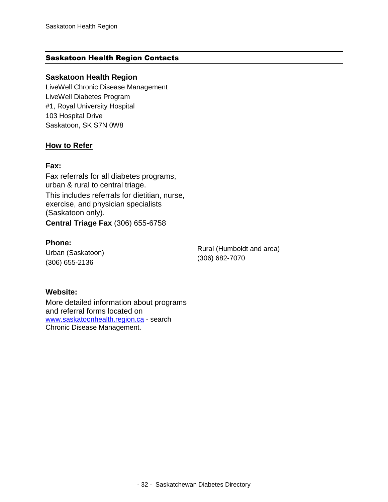#### <span id="page-33-0"></span>Saskatoon Health Region Contacts

#### **Saskatoon Health Region**

LiveWell Chronic Disease Management LiveWell Diabetes Program #1, Royal University Hospital 103 Hospital Drive Saskatoon, SK S7N 0W8

#### **How to Refer**

#### **Fax:**

Fax referrals for all diabetes programs, urban & rural to central triage. This includes referrals for dietitian, nurse, exercise, and physician specialists (Saskatoon only). **Central Triage Fax** (306) 655-6758

#### **Phone:**

Urban (Saskatoon) (306) 655-2136

Rural (Humboldt and area) (306) 682-7070

#### **Website:**

More detailed information about programs and referral forms located on [www.saskatoonhealth.region.ca](http://www.saskatoonhealth.region.ca/) - search Chronic Disease Management.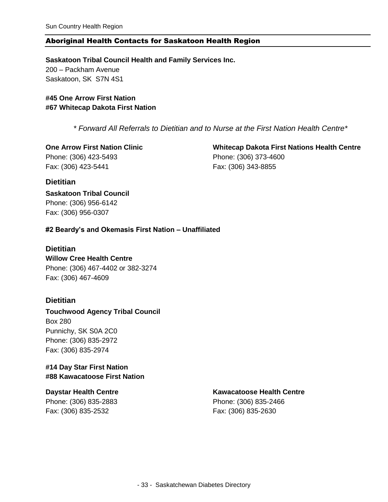#### <span id="page-34-0"></span>Aboriginal Health Contacts for Saskatoon Health Region

**Saskatoon Tribal Council Health and Family Services Inc.** 200 – Packham Avenue Saskatoon, SK S7N 4S1

**#45 One Arrow First Nation #67 Whitecap Dakota First Nation**

*\* Forward All Referrals to Dietitian and to Nurse at the First Nation Health Centre\**

**One Arrow First Nation Clinic** Phone: (306) 423-5493 Fax: (306) 423-5441

**Whitecap Dakota First Nations Health Centre** Phone: (306) 373-4600 Fax: (306) 343-8855

#### **Dietitian**

**Saskatoon Tribal Council** Phone: (306) 956-6142 Fax: (306) 956-0307

#### **#2 Beardy's and Okemasis First Nation – Unaffiliated**

#### **Dietitian**

**Willow Cree Health Centre** Phone: (306) 467-4402 or 382-3274 Fax: (306) 467-4609

#### **Dietitian**

**Touchwood Agency Tribal Council** Box 280 Punnichy, SK S0A 2C0 Phone: (306) 835-2972 Fax: (306) 835-2974

#### **#14 Day Star First Nation #88 Kawacatoose First Nation**

#### **Daystar Health Centre**

Phone: (306) 835-2883 Fax: (306) 835-2532

#### **Kawacatoose Health Centre**

Phone: (306) 835-2466 Fax: (306) 835-2630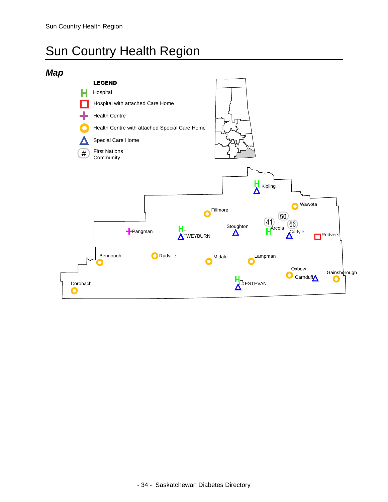## <span id="page-35-0"></span>Sun Country Health Region

### <span id="page-35-1"></span>*Map*

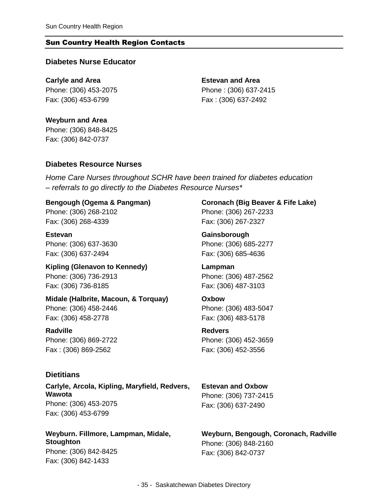#### <span id="page-36-0"></span>Sun Country Health Region Contacts

#### **Diabetes Nurse Educator**

**Carlyle and Area** Phone: (306) 453-2075 Fax: (306) 453-6799

**Estevan and Area** Phone : (306) 637-2415 Fax : (306) 637-2492

**Weyburn and Area** Phone: (306) 848-8425 Fax: (306) 842-0737

#### **Diabetes Resource Nurses**

*Home Care Nurses throughout SCHR have been trained for diabetes education – referrals to go directly to the Diabetes Resource Nurses\**

**Bengough (Ogema & Pangman)** Phone: (306) 268-2102 Fax: (306) 268-4339

**Estevan** Phone: (306) 637-3630 Fax: (306) 637-2494

**Kipling (Glenavon to Kennedy)** Phone: (306) 736-2913 Fax: (306) 736-8185

**Midale (Halbrite, Macoun, & Torquay)** Phone: (306) 458-2446

Fax: (306) 458-2778 **Radville** Phone: (306) 869-2722

Fax : (306) 869-2562

#### **Dietitians**

**Carlyle, Arcola, Kipling, Maryfield, Redvers, Wawota** Phone: (306) 453-2075 Fax: (306) 453-6799

**Weyburn. Fillmore, Lampman, Midale, Stoughton** Phone: (306) 842-8425

Fax: (306) 842-1433

**Coronach (Big Beaver & Fife Lake)** Phone: (306) 267-2233 Fax: (306) 267-2327

**Gainsborough** Phone: (306) 685-2277 Fax: (306) 685-4636

**Lampman** Phone: (306) 487-2562 Fax: (306) 487-3103

**Oxbow** Phone: (306) 483-5047 Fax: (306) 483-5178

**Redvers** Phone: (306) 452-3659 Fax: (306) 452-3556

**Estevan and Oxbow** Phone: (306) 737-2415 Fax: (306) 637-2490

**Weyburn, Bengough, Coronach, Radville** Phone: (306) 848-2160 Fax: (306) 842-0737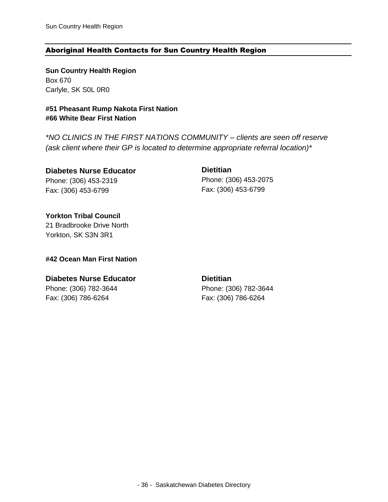#### <span id="page-37-0"></span>Aboriginal Health Contacts for Sun Country Health Region

**Sun Country Health Region** Box 670 Carlyle, SK S0L 0R0

**#51 Pheasant Rump Nakota First Nation #66 White Bear First Nation**

*\*NO CLINICS IN THE FIRST NATIONS COMMUNITY – clients are seen off reserve (ask client where their GP is located to determine appropriate referral location)\**

**Diabetes Nurse Educator** Phone: (306) 453-2319 Fax: (306) 453-6799

**Dietitian** Phone: (306) 453-2075 Fax: (306) 453-6799

**Yorkton Tribal Council** 21 Bradbrooke Drive North Yorkton, SK S3N 3R1

#### **#42 Ocean Man First Nation**

#### **Diabetes Nurse Educator**

Phone: (306) 782-3644 Fax: (306) 786-6264

**Dietitian** Phone: (306) 782-3644 Fax: (306) 786-6264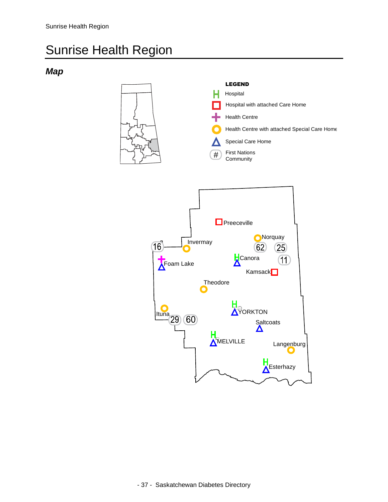### <span id="page-38-0"></span>Sunrise Health Region

### <span id="page-38-1"></span>*Map*

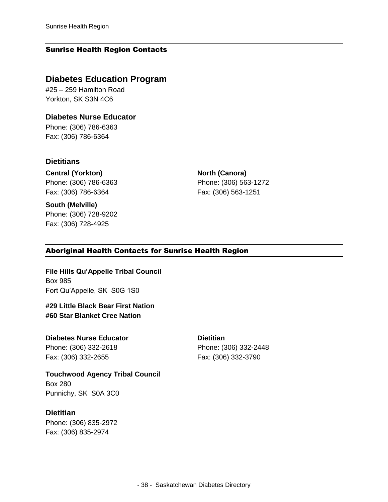#### <span id="page-39-0"></span>Sunrise Health Region Contacts

#### **Diabetes Education Program**

#25 – 259 Hamilton Road Yorkton, SK S3N 4C6

**Diabetes Nurse Educator** Phone: (306) 786-6363 Fax: (306) 786-6364

#### **Dietitians**

**Central (Yorkton)** Phone: (306) 786-6363 Fax: (306) 786-6364

**South (Melville)** Phone: (306) 728-9202 Fax: (306) 728-4925

**North (Canora)** Phone: (306) 563-1272 Fax: (306) 563-1251

#### <span id="page-39-1"></span>Aboriginal Health Contacts for Sunrise Health Region

**File Hills Qu'Appelle Tribal Council** Box 985 Fort Qu'Appelle, SK S0G 1S0

**#29 Little Black Bear First Nation #60 Star Blanket Cree Nation**

#### **Diabetes Nurse Educator**

Phone: (306) 332-2618 Fax: (306) 332-2655

**Touchwood Agency Tribal Council** Box 280 Punnichy, SK S0A 3C0

#### **Dietitian**

Phone: (306) 835-2972 Fax: (306) 835-2974

**Dietitian** Phone: (306) 332-2448 Fax: (306) 332-3790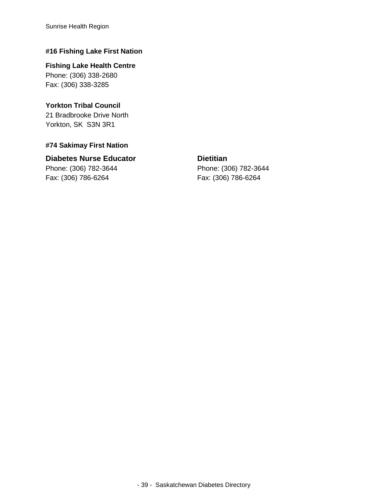Sunrise Health Region

#### **#16 Fishing Lake First Nation**

**Fishing Lake Health Centre** Phone: (306) 338-2680 Fax: (306) 338-3285

#### **Yorkton Tribal Council**

21 Bradbrooke Drive North Yorkton, SK S3N 3R1

#### **#74 Sakimay First Nation**

### **Diabetes Nurse Educator**

Phone: (306) 782-3644 Fax: (306) 786-6264

#### **Dietitian**

Phone: (306) 782-3644 Fax: (306) 786-6264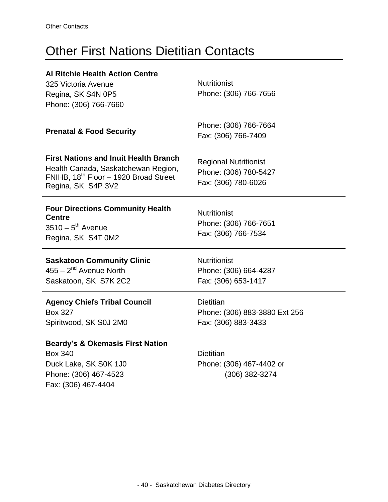### <span id="page-41-0"></span>Other First Nations Dietitian Contacts

| <b>Al Ritchie Health Action Centre</b><br>325 Victoria Avenue<br>Regina, SK S4N 0P5<br>Phone: (306) 766-7660                                                   | <b>Nutritionist</b><br>Phone: (306) 766-7656                                 |
|----------------------------------------------------------------------------------------------------------------------------------------------------------------|------------------------------------------------------------------------------|
| <b>Prenatal &amp; Food Security</b>                                                                                                                            | Phone: (306) 766-7664<br>Fax: (306) 766-7409                                 |
| <b>First Nations and Inuit Health Branch</b><br>Health Canada, Saskatchewan Region,<br>FNIHB, 18 <sup>th</sup> Floor - 1920 Broad Street<br>Regina, SK S4P 3V2 | <b>Regional Nutritionist</b><br>Phone: (306) 780-5427<br>Fax: (306) 780-6026 |
| <b>Four Directions Community Health</b><br><b>Centre</b><br>$3510-5^{th}$ Avenue<br>Regina, SK S4T 0M2                                                         | <b>Nutritionist</b><br>Phone: (306) 766-7651<br>Fax: (306) 766-7534          |
| <b>Saskatoon Community Clinic</b><br>$455 - 2nd$ Avenue North<br>Saskatoon, SK S7K 2C2                                                                         | <b>Nutritionist</b><br>Phone: (306) 664-4287<br>Fax: (306) 653-1417          |
| <b>Agency Chiefs Tribal Council</b><br><b>Box 327</b><br>Spiritwood, SK S0J 2M0                                                                                | <b>Dietitian</b><br>Phone: (306) 883-3880 Ext 256<br>Fax: (306) 883-3433     |
| <b>Beardy's &amp; Okemasis First Nation</b><br><b>Box 340</b><br>Duck Lake, SK S0K 1J0<br>Phone: (306) 467-4523<br>Fax: (306) 467-4404                         | <b>Dietitian</b><br>Phone: (306) 467-4402 or<br>(306) 382-3274               |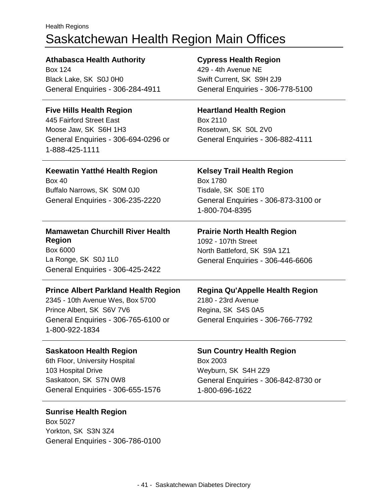### <span id="page-42-0"></span>Health Regions Saskatchewan Health Region Main Offices

| <b>Athabasca Health Authority</b><br><b>Box 124</b><br>Black Lake, SK S0J 0H0<br>General Enquiries - 306-284-4911                                                     | <b>Cypress Health Region</b><br>429 - 4th Avenue NE<br>Swift Current, SK S9H 2J9<br>General Enquiries - 306-778-5100                 |
|-----------------------------------------------------------------------------------------------------------------------------------------------------------------------|--------------------------------------------------------------------------------------------------------------------------------------|
|                                                                                                                                                                       |                                                                                                                                      |
| <b>Five Hills Health Region</b><br>445 Fairford Street East<br>Moose Jaw, SK S6H 1H3<br>General Enquiries - 306-694-0296 or<br>1-888-425-1111                         | <b>Heartland Health Region</b><br>Box 2110<br>Rosetown, SK S0L 2V0<br>General Enquiries - 306-882-4111                               |
| Keewatin Yatthé Health Region<br><b>Box 40</b><br>Buffalo Narrows, SK S0M 0J0<br>General Enquiries - 306-235-2220                                                     | <b>Kelsey Trail Health Region</b><br><b>Box 1780</b><br>Tisdale, SK S0E 1T0<br>General Enquiries - 306-873-3100 or<br>1-800-704-8395 |
| <b>Mamawetan Churchill River Health</b><br><b>Region</b><br>Box 6000<br>La Ronge, SK S0J 1L0<br>General Enquiries - 306-425-2422                                      | <b>Prairie North Health Region</b><br>1092 - 107th Street<br>North Battleford, SK S9A 1Z1<br>General Enquiries - 306-446-6606        |
| <b>Prince Albert Parkland Health Region</b><br>2345 - 10th Avenue Wes, Box 5700<br>Prince Albert, SK S6V 7V6<br>General Enquiries - 306-765-6100 or<br>1-800-922-1834 | <b>Regina Qu'Appelle Health Region</b><br>2180 - 23rd Avenue<br>Regina, SK S4S 0A5<br>General Enquiries - 306-766-7792               |
| <b>Saskatoon Health Region</b><br>6th Floor, University Hospital<br>103 Hospital Drive<br>Saskatoon, SK S7N 0W8<br>General Enquiries - 306-655-1576                   | <b>Sun Country Health Region</b><br>Box 2003<br>Weyburn, SK S4H 2Z9<br>General Enquiries - 306-842-8730 or<br>1-800-696-1622         |

#### **Sunrise Health Region**

 $\overline{a}$ 

 $\overline{a}$ 

Box 5027 Yorkton, SK S3N 3Z4 General Enquiries - 306-786-0100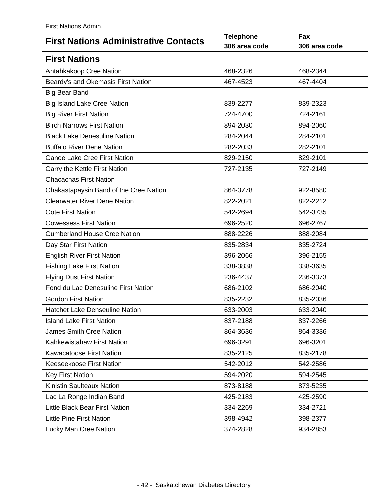<span id="page-43-0"></span>

| <b>First Nations Administrative Contacts</b> | <b>Telephone</b><br>306 area code | Fax<br>306 area code |
|----------------------------------------------|-----------------------------------|----------------------|
| <b>First Nations</b>                         |                                   |                      |
| Ahtahkakoop Cree Nation                      | 468-2326                          | 468-2344             |
| Beardy's and Okemasis First Nation           | 467-4523                          | 467-4404             |
| <b>Big Bear Band</b>                         |                                   |                      |
| <b>Big Island Lake Cree Nation</b>           | 839-2277                          | 839-2323             |
| <b>Big River First Nation</b>                | 724-4700                          | 724-2161             |
| <b>Birch Narrows First Nation</b>            | 894-2030                          | 894-2060             |
| <b>Black Lake Denesuline Nation</b>          | 284-2044                          | 284-2101             |
| <b>Buffalo River Dene Nation</b>             | 282-2033                          | 282-2101             |
| <b>Canoe Lake Cree First Nation</b>          | 829-2150                          | 829-2101             |
| Carry the Kettle First Nation                | 727-2135                          | 727-2149             |
| <b>Chacachas First Nation</b>                |                                   |                      |
| Chakastapaysin Band of the Cree Nation       | 864-3778                          | 922-8580             |
| <b>Clearwater River Dene Nation</b>          | 822-2021                          | 822-2212             |
| <b>Cote First Nation</b>                     | 542-2694                          | 542-3735             |
| <b>Cowessess First Nation</b>                | 696-2520                          | 696-2767             |
| <b>Cumberland House Cree Nation</b>          | 888-2226                          | 888-2084             |
| Day Star First Nation                        | 835-2834                          | 835-2724             |
| <b>English River First Nation</b>            | 396-2066                          | 396-2155             |
| <b>Fishing Lake First Nation</b>             | 338-3838                          | 338-3635             |
| <b>Flying Dust First Nation</b>              | 236-4437                          | 236-3373             |
| Fond du Lac Denesuline First Nation          | 686-2102                          | 686-2040             |
| <b>Gordon First Nation</b>                   | 835-2232                          | 835-2036             |
| <b>Hatchet Lake Denseuline Nation</b>        | 633-2003                          | 633-2040             |
| <b>Island Lake First Nation</b>              | 837-2188                          | 837-2266             |
| <b>James Smith Cree Nation</b>               | 864-3636                          | 864-3336             |
| Kahkewistahaw First Nation                   | 696-3291                          | 696-3201             |
| <b>Kawacatoose First Nation</b>              | 835-2125                          | 835-2178             |
| Keeseekoose First Nation                     | 542-2012                          | 542-2586             |
| <b>Key First Nation</b>                      | 594-2020                          | 594-2545             |
| Kinistin Saulteaux Nation                    | 873-8188                          | 873-5235             |
| Lac La Ronge Indian Band                     | 425-2183                          | 425-2590             |
| Little Black Bear First Nation               | 334-2269                          | 334-2721             |
| <b>Little Pine First Nation</b>              | 398-4942                          | 398-2377             |
| Lucky Man Cree Nation                        | 374-2828                          | 934-2853             |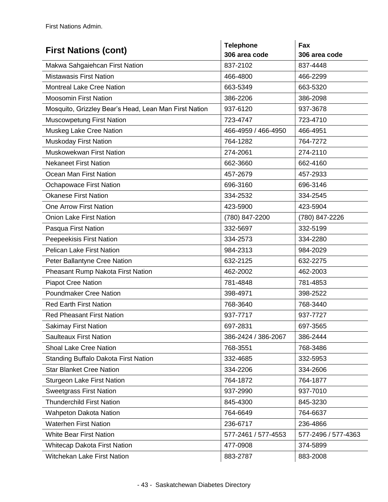| <b>First Nations (cont)</b>                           | <b>Telephone</b><br>306 area code | Fax<br>306 area code |
|-------------------------------------------------------|-----------------------------------|----------------------|
| Makwa Sahgaiehcan First Nation                        | 837-2102                          | 837-4448             |
| <b>Mistawasis First Nation</b>                        | 466-4800                          | 466-2299             |
| <b>Montreal Lake Cree Nation</b>                      | 663-5349                          | 663-5320             |
| <b>Moosomin First Nation</b>                          | 386-2206                          | 386-2098             |
| Mosquito, Grizzley Bear's Head, Lean Man First Nation | 937-6120                          | 937-3678             |
| <b>Muscowpetung First Nation</b>                      | 723-4747                          | 723-4710             |
| Muskeg Lake Cree Nation                               | 466-4959 / 466-4950               | 466-4951             |
| Muskoday First Nation                                 | 764-1282                          | 764-7272             |
| Muskowekwan First Nation                              | 274-2061                          | 274-2110             |
| <b>Nekaneet First Nation</b>                          | 662-3660                          | 662-4160             |
| Ocean Man First Nation                                | 457-2679                          | 457-2933             |
| <b>Ochapowace First Nation</b>                        | 696-3160                          | 696-3146             |
| <b>Okanese First Nation</b>                           | 334-2532                          | 334-2545             |
| <b>One Arrow First Nation</b>                         | 423-5900                          | 423-5904             |
| <b>Onion Lake First Nation</b>                        | (780) 847-2200                    | (780) 847-2226       |
| Pasqua First Nation                                   | 332-5697                          | 332-5199             |
| Peepeekisis First Nation                              | 334-2573                          | 334-2280             |
| <b>Pelican Lake First Nation</b>                      | 984-2313                          | 984-2029             |
| Peter Ballantyne Cree Nation                          | 632-2125                          | 632-2275             |
| Pheasant Rump Nakota First Nation                     | 462-2002                          | 462-2003             |
| <b>Piapot Cree Nation</b>                             | 781-4848                          | 781-4853             |
| <b>Poundmaker Cree Nation</b>                         | 398-4971                          | 398-2522             |
| <b>Red Earth First Nation</b>                         | 768-3640                          | 768-3440             |
| <b>Red Pheasant First Nation</b>                      | 937-7717                          | 937-7727             |
| <b>Sakimay First Nation</b>                           | 697-2831                          | 697-3565             |
| <b>Saulteaux First Nation</b>                         | 386-2424 / 386-2067               | 386-2444             |
| <b>Shoal Lake Cree Nation</b>                         | 768-3551                          | 768-3486             |
| Standing Buffalo Dakota First Nation                  | 332-4685                          | 332-5953             |
| <b>Star Blanket Cree Nation</b>                       | 334-2206                          | 334-2606             |
| <b>Sturgeon Lake First Nation</b>                     | 764-1872                          | 764-1877             |
| <b>Sweetgrass First Nation</b>                        | 937-2990                          | 937-7010             |
| <b>Thunderchild First Nation</b>                      | 845-4300                          | 845-3230             |
| <b>Wahpeton Dakota Nation</b>                         | 764-6649                          | 764-6637             |
| <b>Waterhen First Nation</b>                          | 236-6717                          | 236-4866             |
| <b>White Bear First Nation</b>                        | 577-2461 / 577-4553               | 577-2496 / 577-4363  |
| <b>Whitecap Dakota First Nation</b>                   | 477-0908                          | 374-5899             |
| <b>Witchekan Lake First Nation</b>                    | 883-2787                          | 883-2008             |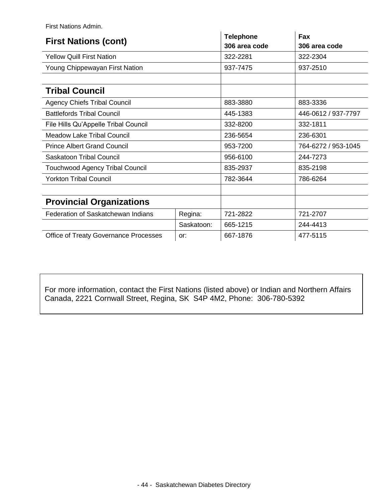First Nations Admin.

| <b>First Nations (cont)</b>            |            | <b>Telephone</b><br>306 area code | Fax<br>306 area code |
|----------------------------------------|------------|-----------------------------------|----------------------|
| <b>Yellow Quill First Nation</b>       |            | 322-2281                          | 322-2304             |
| Young Chippewayan First Nation         |            | 937-7475                          | 937-2510             |
|                                        |            |                                   |                      |
| <b>Tribal Council</b>                  |            |                                   |                      |
| <b>Agency Chiefs Tribal Council</b>    |            | 883-3880                          | 883-3336             |
| <b>Battlefords Tribal Council</b>      |            | 445-1383                          | 446-0612 / 937-7797  |
| File Hills Qu'Appelle Tribal Council   |            | 332-8200                          | 332-1811             |
| <b>Meadow Lake Tribal Council</b>      |            | 236-5654                          | 236-6301             |
| <b>Prince Albert Grand Council</b>     |            | 953-7200                          | 764-6272 / 953-1045  |
| Saskatoon Tribal Council               |            | 956-6100                          | 244-7273             |
| <b>Touchwood Agency Tribal Council</b> |            | 835-2937                          | 835-2198             |
| <b>Yorkton Tribal Council</b>          |            | 782-3644                          | 786-6264             |
|                                        |            |                                   |                      |
| <b>Provincial Organizations</b>        |            |                                   |                      |
| Federation of Saskatchewan Indians     | Regina:    | 721-2822                          | 721-2707             |
|                                        | Saskatoon: | 665-1215                          | 244-4413             |
| Office of Treaty Governance Processes  | or:        | 667-1876                          | 477-5115             |

For more information, contact the First Nations (listed above) or Indian and Northern Affairs Canada, 2221 Cornwall Street, Regina, SK S4P 4M2, Phone: 306-780-5392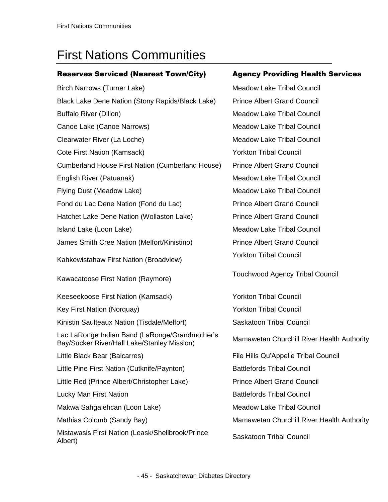### <span id="page-46-0"></span>First Nations Communities

#### Reserves Serviced (Nearest Town/City) Agency Providing Health Services

Birch Narrows (Turner Lake) Meadow Lake Tribal Council Black Lake Dene Nation (Stony Rapids/Black Lake) Prince Albert Grand Council Buffalo River (Dillon) Meadow Lake Tribal Council Canoe Lake (Canoe Narrows) and Meadow Lake Tribal Council Clearwater River (La Loche) Meadow Lake Tribal Council Cote First Nation (Kamsack) Yorkton Tribal Council Cumberland House First Nation (Cumberland House) Prince Albert Grand Council English River (Patuanak) Meadow Lake Tribal Council Flying Dust (Meadow Lake) Meadow Lake Tribal Council Fond du Lac Dene Nation (Fond du Lac) Prince Albert Grand Council Hatchet Lake Dene Nation (Wollaston Lake) Prince Albert Grand Council Island Lake (Loon Lake) Meadow Lake Tribal Council James Smith Cree Nation (Melfort/Kinistino) Prince Albert Grand Council Kahkewistahaw First Nation (Broadview) Kawacatoose First Nation (Raymore) Keeseekoose First Nation (Kamsack) <br>
Yorkton Tribal Council Key First Nation (Norquay) Xang The More Yorkton Tribal Council Kinistin Saulteaux Nation (Tisdale/Melfort) Saskatoon Tribal Council Lac LaRonge Indian Band (LaRonge/Grandmother's Bay/Sucker River/Hall Lake/Stanley Mission) Mamawetan Churchill River Health Authority Little Black Bear (Balcarres) The Hills Qu'Appelle Tribal Council Little Pine First Nation (Cutknife/Paynton) Battlefords Tribal Council Little Red (Prince Albert/Christopher Lake) Prince Albert Grand Council Lucky Man First Nation **Battlefords Tribal Council** Battlefords Tribal Council Makwa Sahgaiehcan (Loon Lake) Meadow Lake Tribal Council Mathias Colomb (Sandy Bay) Mamawetan Churchill River Health Authority Mistawasis First Nation (Leask/Shellbrook/Prince Mistawasis First Nation (Leasiv Stielibrook/Fririce Saskatoon Tribal Council<br>Albert)

Yorkton Tribal Council Touchwood Agency Tribal Council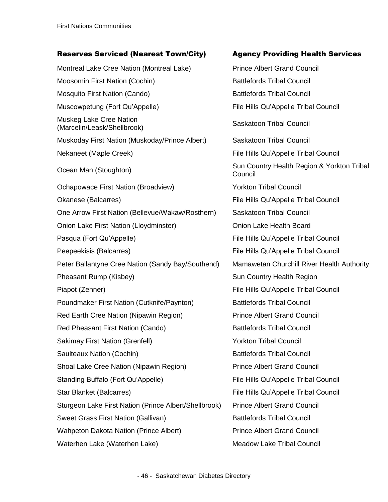#### Reserves Serviced (Nearest Town/City) Agency Providing Health Services

Montreal Lake Cree Nation (Montreal Lake) Prince Albert Grand Council Moosomin First Nation (Cochin) Battlefords Tribal Council Mosquito First Nation (Cando) Mosquito First Nation (Cando) Muscowpetung (Fort Qu'Appelle) File Hills Qu'Appelle Tribal Council Muskeg Lake Cree Nation widskey Lake Cree Nation<br>(Marcelin/Leask/Shellbrook) Saskatoon Tribal Council Muskoday First Nation (Muskoday/Prince Albert) Saskatoon Tribal Council Nekaneet (Maple Creek) **File Hills Qu'Appelle Tribal Council** Ocean Man (Stoughton) Sun Country Health Region & Yorkton Tribal Ochapowace First Nation (Broadview) The Sockton Tribal Council Okanese (Balcarres) File Hills Qu'Appelle Tribal Council One Arrow First Nation (Bellevue/Wakaw/Rosthern) Saskatoon Tribal Council Onion Lake First Nation (Lloydminster) Onion Lake Health Board Pasqua (Fort Qu'Appelle) File Hills Qu'Appelle Tribal Council Peepeekisis (Balcarres) The Hills Qu'Appelle Tribal Council Peter Ballantyne Cree Nation (Sandy Bay/Southend) Mamawetan Churchill River Health Authority Pheasant Rump (Kisbey) The Sun Country Health Region Piapot (Zehner) File Hills Qu'Appelle Tribal Council Poundmaker First Nation (Cutknife/Paynton) Battlefords Tribal Council Red Earth Cree Nation (Nipawin Region) Prince Albert Grand Council Red Pheasant First Nation (Cando) Battlefords Tribal Council Sakimay First Nation (Grenfell) **Washington Connect Act Act Act View Yorkton Tribal Council** Saulteaux Nation (Cochin) **Battlefords Tribal Council** Battlefords Tribal Council Shoal Lake Cree Nation (Nipawin Region) Prince Albert Grand Council Standing Buffalo (Fort Qu'Appelle) File Hills Qu'Appelle Tribal Council Star Blanket (Balcarres) The Hills Qu'Appelle Tribal Council Sturgeon Lake First Nation (Prince Albert/Shellbrook) Prince Albert Grand Council Sweet Grass First Nation (Gallivan) Battlefords Tribal Council Wahpeton Dakota Nation (Prince Albert) **Prince Albert Grand Council** Waterhen Lake (Waterhen Lake) Meadow Lake Tribal Council

Council